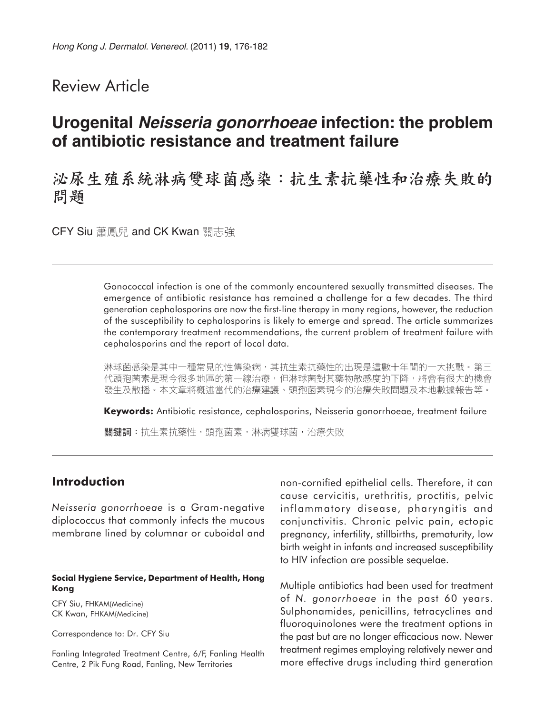# Review Article

# **Urogenital Neisseria gonorrhoeae infection: the problem of antibiotic resistance and treatment failure**

# 泌尿生殖系統淋病雙球菌感染:抗生素抗藥性和治療失敗的 問題

CFY Siu 蕭鳳兒 and CK Kwan 關志強

Gonococcal infection is one of the commonly encountered sexually transmitted diseases. The emergence of antibiotic resistance has remained a challenge for a few decades. The third generation cephalosporins are now the first-line therapy in many regions, however, the reduction of the susceptibility to cephalosporins is likely to emerge and spread. The article summarizes the contemporary treatment recommendations, the current problem of treatment failure with cephalosporins and the report of local data.

淋球菌感染是其中一種常見的性傳染病,其抗生素抗藥性的出現是這數十年間的一大挑戰。第三 代頭孢菌素是現今很多地區的第一線治療,但淋球菌對其藥物敏感度的下降,將會有很大的機會 發生及散播。本文章將概述當代的治療建議、頭孢菌素現今的治療失敗問題及本地數據報告等。

**Keywords:** Antibiotic resistance, cephalosporins, Neisseria gonorrhoeae, treatment failure 關鍵詞:抗生素抗藥性,頭孢菌素,淋病雙球菌,治療失敗

# **Introduction**

*Neisseria gonorrhoeae* is a Gram-negative diplococcus that commonly infects the mucous membrane lined by columnar or cuboidal and

#### **Social Hygiene Service, Department of Health, Hong Kong**

CFY Siu, FHKAM(Medicine) CK Kwan, FHKAM(Medicine)

Correspondence to: Dr. CFY Siu

Fanling Integrated Treatment Centre, 6/F, Fanling Health Centre, 2 Pik Fung Road, Fanling, New Territories

non-cornified epithelial cells. Therefore, it can cause cervicitis, urethritis, proctitis, pelvic inflammatory disease, pharyngitis and conjunctivitis. Chronic pelvic pain, ectopic pregnancy, infertility, stillbirths, prematurity, low birth weight in infants and increased susceptibility to HIV infection are possible sequelae.

Multiple antibiotics had been used for treatment of *N. gonorrhoeae* in the past 60 years. Sulphonamides, penicillins, tetracyclines and fluoroquinolones were the treatment options in the past but are no longer efficacious now. Newer treatment regimes employing relatively newer and more effective drugs including third generation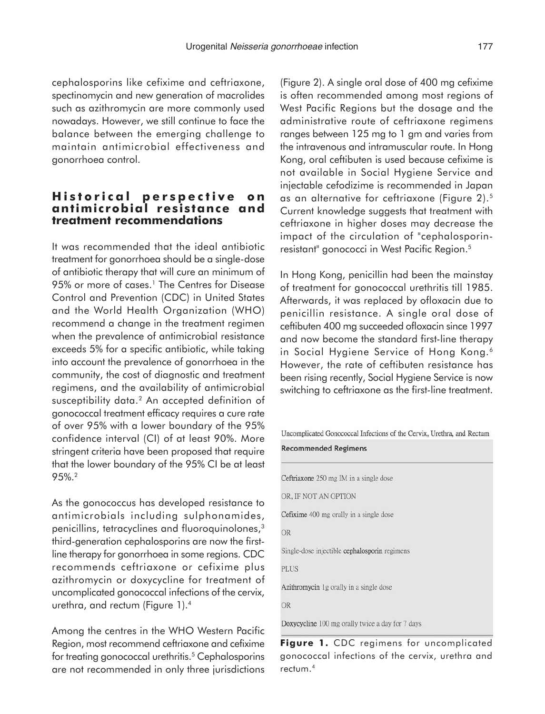cephalosporins like cefixime and ceftriaxone, spectinomycin and new generation of macrolides such as azithromycin are more commonly used nowadays. However, we still continue to face the balance between the emerging challenge to maintain antimicrobial effectiveness and gonorrhoea control.

### **Historical perspective on antimicrobial resistance and treatment recommendations**

It was recommended that the ideal antibiotic treatment for gonorrhoea should be a single-dose of antibiotic therapy that will cure an minimum of 95% or more of cases.<sup>1</sup> The Centres for Disease Control and Prevention (CDC) in United States and the World Health Organization (WHO) recommend a change in the treatment regimen when the prevalence of antimicrobial resistance exceeds 5% for a specific antibiotic, while taking into account the prevalence of gonorrhoea in the community, the cost of diagnostic and treatment regimens, and the availability of antimicrobial susceptibility data.<sup>2</sup> An accepted definition of gonococcal treatment efficacy requires a cure rate of over 95% with a lower boundary of the 95% confidence interval (CI) of at least 90%. More stringent criteria have been proposed that require that the lower boundary of the 95% CI be at least 95%.2

As the gonococcus has developed resistance to antimicrobials including sulphonamides, penicillins, tetracyclines and fluoroquinolones,<sup>3</sup> third-generation cephalosporins are now the firstline therapy for gonorrhoea in some regions. CDC recommends ceftriaxone or cefixime plus azithromycin or doxycycline for treatment of uncomplicated gonococcal infections of the cervix, urethra, and rectum (Figure 1).4

Among the centres in the WHO Western Pacific Region, most recommend ceftriaxone and cefixime for treating gonococcal urethritis.<sup>5</sup> Cephalosporins are not recommended in only three jurisdictions (Figure 2). A single oral dose of 400 mg cefixime is often recommended among most regions of West Pacific Regions but the dosage and the administrative route of ceftriaxone regimens ranges between 125 mg to 1 gm and varies from the intravenous and intramuscular route. In Hong Kong, oral ceftibuten is used because cefixime is not available in Social Hygiene Service and injectable cefodizime is recommended in Japan as an alternative for ceftriaxone (Figure 2).5 Current knowledge suggests that treatment with ceftriaxone in higher doses may decrease the impact of the circulation of "cephalosporinresistant" gonococci in West Pacific Region.5

In Hong Kong, penicillin had been the mainstay of treatment for gonococcal urethritis till 1985. Afterwards, it was replaced by ofloxacin due to penicillin resistance. A single oral dose of ceftibuten 400 mg succeeded ofloxacin since 1997 and now become the standard first-line therapy in Social Hygiene Service of Hong Kong.<sup>6</sup> However, the rate of ceftibuten resistance has been rising recently, Social Hygiene Service is now switching to ceftriaxone as the first-line treatment.

Uncomplicated Gonococcal Infections of the Cervix, Urethra, and Rectum

**Recommended Regimens** 

Ceftriaxone 250 mg IM in a single dose

OR, IF NOT AN OPTION

Cefixime 400 mg orally in a single dose

**OR** 

Single-dose injectible cephalosporin regimens

**PLUS** 

Azithromycin 1g orally in a single dose

**OR** 

Doxycycline 100 mg orally twice a day for 7 days

Figure 1. CDC regimens for uncomplicated gonococcal infections of the cervix, urethra and rectum.4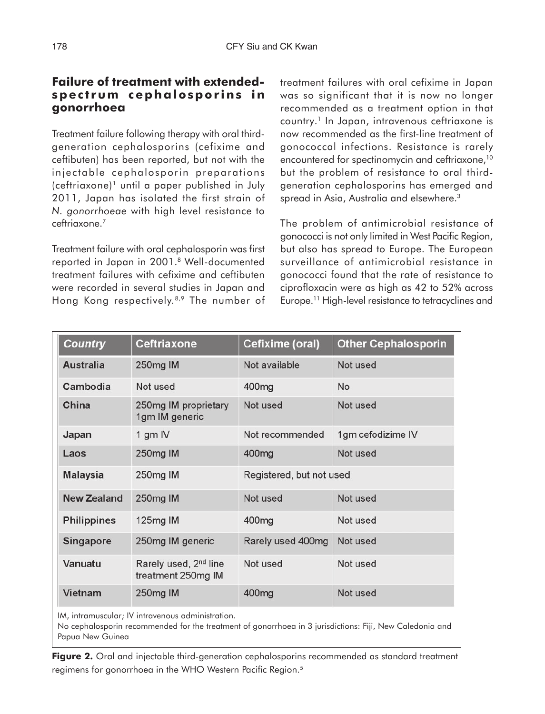# **Failure of treatment with extendedspectrum cephalosporins in gonorrhoea**

Treatment failure following therapy with oral thirdgeneration cephalosporins (cefixime and ceftibuten) has been reported, but not with the injectable cephalosporin preparations (ceftriaxone)1 until a paper published in July 2011, Japan has isolated the first strain of *N. gonorrhoeae* with high level resistance to ceftriaxone.7

Treatment failure with oral cephalosporin was first reported in Japan in 2001.8 Well-documented treatment failures with cefixime and ceftibuten were recorded in several studies in Japan and Hong Kong respectively.8,9 The number of treatment failures with oral cefixime in Japan was so significant that it is now no longer recommended as a treatment option in that country.1 In Japan, intravenous ceftriaxone is now recommended as the first-line treatment of gonococcal infections. Resistance is rarely encountered for spectinomycin and ceftriaxone,<sup>10</sup> but the problem of resistance to oral thirdgeneration cephalosporins has emerged and spread in Asia, Australia and elsewhere.<sup>3</sup>

The problem of antimicrobial resistance of gonococci is not only limited in West Pacific Region, but also has spread to Europe. The European surveillance of antimicrobial resistance in gonococci found that the rate of resistance to ciprofloxacin were as high as 42 to 52% across Europe.11 High-level resistance to tetracyclines and

| <b>Country</b>     | <b>Ceftriaxone</b>                                      | Cefixime (oral)          | <b>Other Cephalosporin</b> |
|--------------------|---------------------------------------------------------|--------------------------|----------------------------|
| <b>Australia</b>   | 250mg IM                                                | Not available            | Not used                   |
| Cambodia           | Not used                                                | 400 <sub>mg</sub>        | No                         |
| China              | 250mg IM proprietary<br>1gm IM generic                  | Not used                 | Not used                   |
| Japan              | 1 gm IV                                                 | Not recommended          | 1gm cefodizime IV          |
| Laos               | 250mg IM                                                | 400 <sub>mg</sub>        | Not used                   |
| <b>Malaysia</b>    | 250mg IM                                                | Registered, but not used |                            |
| <b>New Zealand</b> | 250mg IM                                                | Not used                 | Not used                   |
| <b>Philippines</b> | 125mg IM                                                | 400 <sub>mg</sub>        | Not used                   |
| <b>Singapore</b>   | 250mg IM generic                                        | Rarely used 400mg        | Not used                   |
| Vanuatu            | Rarely used, 2 <sup>nd</sup> line<br>treatment 250mg IM | Not used                 | Not used                   |
| <b>Vietnam</b>     | 250mg IM                                                | 400 <sub>mg</sub>        | Not used                   |

IM, intramuscular; IV intravenous administration.

No cephalosporin recommended for the treatment of gonorrhoea in 3 jurisdictions: Fiji, New Caledonia and Papua New Guinea

**Figure 2.** Oral and injectable third-generation cephalosporins recommended as standard treatment regimens for gonorrhoea in the WHO Western Pacific Region.<sup>5</sup>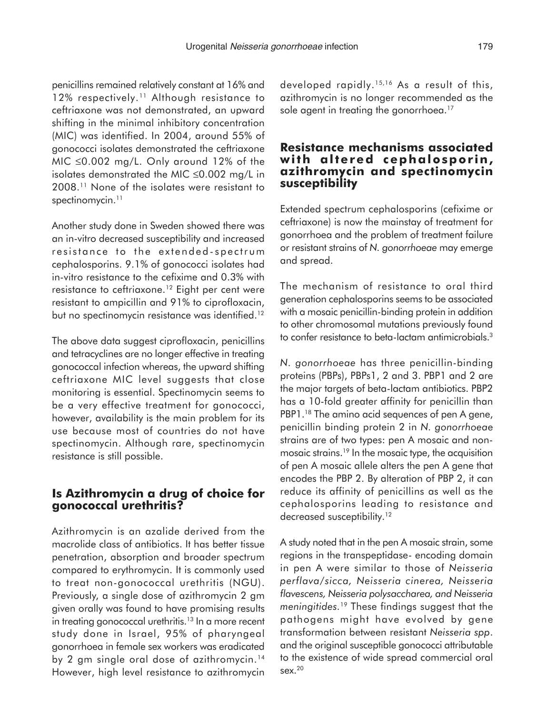penicillins remained relatively constant at 16% and 12% respectively.<sup>11</sup> Although resistance to ceftriaxone was not demonstrated, an upward shifting in the minimal inhibitory concentration (MIC) was identified. In 2004, around 55% of gonococci isolates demonstrated the ceftriaxone MIC ≤0.002 mg/L. Only around 12% of the isolates demonstrated the MIC ≤0.002 mg/L in 2008.11 None of the isolates were resistant to spectinomycin.<sup>11</sup>

Another study done in Sweden showed there was an in-vitro decreased susceptibility and increased resistance to the extended-spectrum cephalosporins. 9.1% of gonococci isolates had in-vitro resistance to the cefixime and 0.3% with resistance to ceftriaxone.12 Eight per cent were resistant to ampicillin and 91% to ciprofloxacin, but no spectinomycin resistance was identified.<sup>12</sup>

The above data suggest ciprofloxacin, penicillins and tetracyclines are no longer effective in treating gonococcal infection whereas, the upward shifting ceftriaxone MIC level suggests that close monitoring is essential. Spectinomycin seems to be a very effective treatment for gonococci, however, availability is the main problem for its use because most of countries do not have spectinomycin. Although rare, spectinomycin resistance is still possible.

#### **Is Azithromycin a drug of choice for gonococcal urethritis?**

Azithromycin is an azalide derived from the macrolide class of antibiotics. It has better tissue penetration, absorption and broader spectrum compared to erythromycin. It is commonly used to treat non-gonococcal urethritis (NGU). Previously, a single dose of azithromycin 2 gm given orally was found to have promising results in treating gonococcal urethritis.<sup>13</sup> In a more recent study done in Israel, 95% of pharyngeal gonorrhoea in female sex workers was eradicated by 2 gm single oral dose of azithromycin.<sup>14</sup> However, high level resistance to azithromycin developed rapidly.15,16 As a result of this, azithromycin is no longer recommended as the sole agent in treating the gonorrhoea.<sup>17</sup>

#### **Resistance mechanisms associated with altered cephalosporin, azithromycin and spectinomycin susceptibility**

Extended spectrum cephalosporins (cefixime or ceftriaxone) is now the mainstay of treatment for gonorrhoea and the problem of treatment failure or resistant strains of *N. gonorrhoeae* may emerge and spread.

The mechanism of resistance to oral third generation cephalosporins seems to be associated with a mosaic penicillin-binding protein in addition to other chromosomal mutations previously found to confer resistance to beta-lactam antimicrobials.3

*N. gonorrhoeae* has three penicillin-binding proteins (PBPs), PBPs1, 2 and 3. PBP1 and 2 are the major targets of beta-lactam antibiotics. PBP2 has a 10-fold greater affinity for penicillin than PBP1.<sup>18</sup> The amino acid sequences of pen A gene, penicillin binding protein 2 in *N. gonorrhoea*e strains are of two types: pen A mosaic and nonmosaic strains.19 In the mosaic type, the acquisition of pen A mosaic allele alters the pen A gene that encodes the PBP 2. By alteration of PBP 2, it can reduce its affinity of penicillins as well as the cephalosporins leading to resistance and decreased susceptibility.<sup>12</sup>

A study noted that in the pen A mosaic strain, some regions in the transpeptidase- encoding domain in pen A were similar to those of *Neisseria perflava/sicca, Neisseria cinerea, Neisseria flavescens, Neisseria polysaccharea, and Neisseria meningitides.*<sup>19</sup> These findings suggest that the pathogens might have evolved by gene transformation between resistant *Neisseria spp*. and the original susceptible gonococci attributable to the existence of wide spread commercial oral sex.20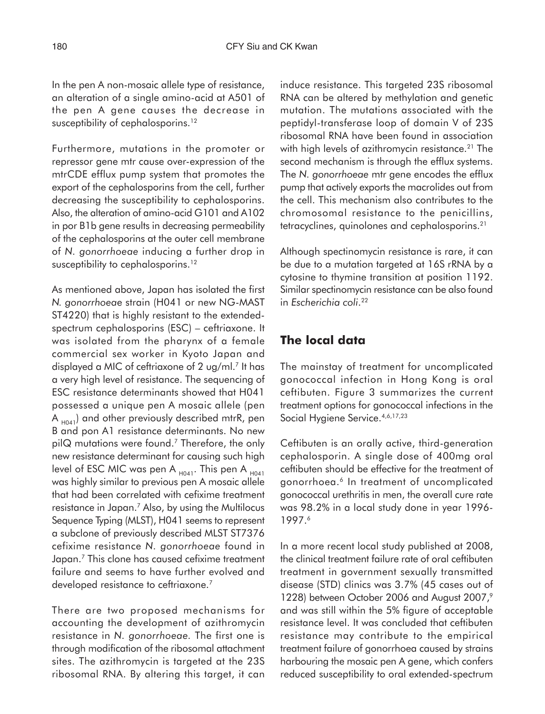In the pen A non-mosaic allele type of resistance, an alteration of a single amino-acid at A501 of the pen A gene causes the decrease in susceptibility of cephalosporins.<sup>12</sup>

Furthermore, mutations in the promoter or repressor gene mtr cause over-expression of the mtrCDE efflux pump system that promotes the export of the cephalosporins from the cell, further decreasing the susceptibility to cephalosporins. Also, the alteration of amino-acid G101 and A102 in por B1b gene results in decreasing permeability of the cephalosporins at the outer cell membrane of *N. gonorrhoeae* inducing a further drop in susceptibility to cephalosporins.<sup>12</sup>

As mentioned above, Japan has isolated the first *N. gonorrhoea*e strain (H041 or new NG-MAST ST4220) that is highly resistant to the extendedspectrum cephalosporins (ESC) – ceftriaxone. It was isolated from the pharynx of a female commercial sex worker in Kyoto Japan and displayed a MIC of ceftriaxone of 2 ug/ml.<sup>7</sup> It has a very high level of resistance. The sequencing of ESC resistance determinants showed that H041 possessed a unique pen A mosaic allele (pen A  $_{\sf{H041}}$ ) and other previously described mtrR, pen B and pon A1 resistance determinants. No new pilQ mutations were found.7 Therefore, the only new resistance determinant for causing such high level of ESC MIC was pen A  $_{H041}$ . This pen A  $_{H041}$ was highly similar to previous pen A mosaic allele that had been correlated with cefixime treatment resistance in Japan.7 Also, by using the Multilocus Sequence Typing (MLST), H041 seems to represent a subclone of previously described MLST ST7376 cefixime resistance *N. gonorrhoeae* found in Japan.7 This clone has caused cefixime treatment failure and seems to have further evolved and developed resistance to ceftriaxone.<sup>7</sup>

There are two proposed mechanisms for accounting the development of azithromycin resistance in *N. gonorrhoeae.* The first one is through modification of the ribosomal attachment sites. The azithromycin is targeted at the 23S ribosomal RNA. By altering this target, it can

induce resistance. This targeted 23S ribosomal RNA can be altered by methylation and genetic mutation. The mutations associated with the peptidyl-transferase loop of domain V of 23S ribosomal RNA have been found in association with high levels of azithromycin resistance.<sup>21</sup> The second mechanism is through the efflux systems. The *N. gonorrhoeae* mtr gene encodes the efflux pump that actively exports the macrolides out from the cell. This mechanism also contributes to the chromosomal resistance to the penicillins, tetracyclines, quinolones and cephalosporins.21

Although spectinomycin resistance is rare, it can be due to a mutation targeted at 16S rRNA by a cytosine to thymine transition at position 1192. Similar spectinomycin resistance can be also found in *Escherichia coli*. 22

## **The local data**

The mainstay of treatment for uncomplicated gonococcal infection in Hong Kong is oral ceftibuten. Figure 3 summarizes the current treatment options for gonococcal infections in the Social Hygiene Service. 4,6,17,23

Ceftibuten is an orally active, third-generation cephalosporin. A single dose of 400mg oral ceftibuten should be effective for the treatment of gonorrhoea.<sup>6</sup> In treatment of uncomplicated gonococcal urethritis in men, the overall cure rate was 98.2% in a local study done in year 1996- 1997.6

In a more recent local study published at 2008, the clinical treatment failure rate of oral ceftibuten treatment in government sexually transmitted disease (STD) clinics was 3.7% (45 cases out of 1228) between October 2006 and August 2007,<sup>9</sup> and was still within the 5% figure of acceptable resistance level. It was concluded that ceftibuten resistance may contribute to the empirical treatment failure of gonorrhoea caused by strains harbouring the mosaic pen A gene, which confers reduced susceptibility to oral extended-spectrum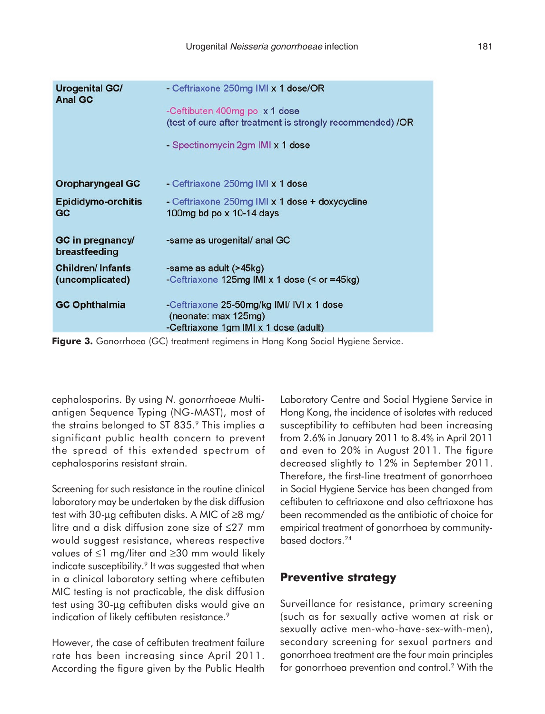| <b>Urogenital GC/</b><br><b>Anal GC</b>    | - Ceftriaxone 250mg IMI x 1 dose/OR<br>-Ceftibuten 400mg po x 1 dose<br>(test of cure after treatment is strongly recommended) /OR<br>- Spectinomycin 2gm IMI x 1 dose |
|--------------------------------------------|------------------------------------------------------------------------------------------------------------------------------------------------------------------------|
| <b>Oropharyngeal GC</b>                    | - Ceftriaxone 250mg IMI x 1 dose                                                                                                                                       |
| <b>Epididymo-orchitis</b><br>GC            | - Ceftriaxone 250mg IMI x 1 dose + doxycycline<br>100 $mg$ bd po $\times$ 10-14 days                                                                                   |
| GC in pregnancy/<br>breastfeeding          | -same as urogenital/ anal GC                                                                                                                                           |
| <b>Children/Infants</b><br>(uncomplicated) | -same as adult (>45kg)<br>-Ceftriaxone 125mg IMI x 1 dose (< or =45kg)                                                                                                 |
| <b>GC Ophthalmia</b>                       | -Ceftriaxone 25-50mg/kg IMI/ IVI x 1 dose<br>(neonate: max 125mg)<br>-Ceftriaxone 1gm IMI x 1 dose (adult)                                                             |

**Figure 3.** Gonorrhoea (GC) treatment regimens in Hong Kong Social Hygiene Service.

cephalosporins. By using *N. gonorrhoeae* Multiantigen Sequence Typing (NG-MAST), most of the strains belonged to ST 835.9 This implies a significant public health concern to prevent the spread of this extended spectrum of cephalosporins resistant strain.

Screening for such resistance in the routine clinical laboratory may be undertaken by the disk diffusion test with 30-µg ceftibuten disks. A MIC of ≥8 mg/ litre and a disk diffusion zone size of ≤27 mm would suggest resistance, whereas respective values of ≤1 mg/liter and ≥30 mm would likely indicate susceptibility.<sup>9</sup> It was suggested that when in a clinical laboratory setting where ceftibuten MIC testing is not practicable, the disk diffusion test using 30-µg ceftibuten disks would give an indication of likely ceftibuten resistance.<sup>9</sup>

However, the case of ceftibuten treatment failure rate has been increasing since April 2011. According the figure given by the Public Health Laboratory Centre and Social Hygiene Service in Hong Kong, the incidence of isolates with reduced susceptibility to ceftibuten had been increasing from 2.6% in January 2011 to 8.4% in April 2011 and even to 20% in August 2011. The figure decreased slightly to 12% in September 2011. Therefore, the first-line treatment of gonorrhoea in Social Hygiene Service has been changed from ceftibuten to ceftriaxone and also ceftriaxone has been recommended as the antibiotic of choice for empirical treatment of gonorrhoea by communitybased doctors.24

## **Preventive strategy**

Surveillance for resistance, primary screening (such as for sexually active women at risk or sexually active men-who-have-sex-with-men), secondary screening for sexual partners and gonorrhoea treatment are the four main principles for gonorrhoea prevention and control.2 With the